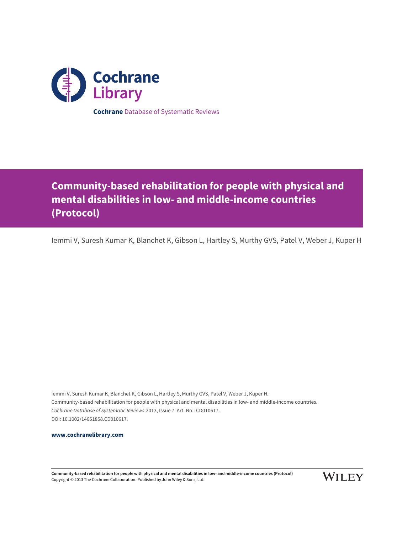

# **Community-based rehabilitation for people with physical and mental disabilities in low- and middle-income countries (Protocol)**

Iemmi V, Suresh Kumar K, Blanchet K, Gibson L, Hartley S, Murthy GVS, Patel V, Weber J, Kuper H

Iemmi V, Suresh Kumar K, Blanchet K, Gibson L, Hartley S, Murthy GVS, Patel V, Weber J, Kuper H. Community-based rehabilitation for people with physical and mental disabilities in low- and middle-income countries. Cochrane Database of Systematic Reviews 2013, Issue 7. Art. No.: CD010617. DOI: 10.1002/14651858.CD010617.

**[www.cochranelibrary.com](http://www.cochranelibrary.com)**

**Community-based rehabilitation for people with physical and mental disabilities in low- and middle-income countries (Protocol)** Copyright © 2013 The Cochrane Collaboration. Published by John Wiley & Sons, Ltd.

**WILEY**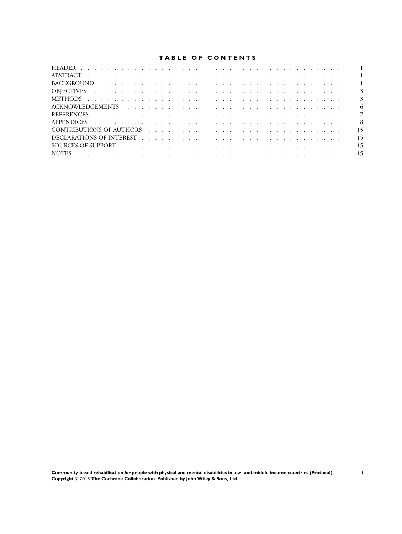# **TABLE OF CONTENTS**

|                                                                                                                | $\overline{\phantom{a}3}$ |
|----------------------------------------------------------------------------------------------------------------|---------------------------|
|                                                                                                                | $\overline{\phantom{a}3}$ |
|                                                                                                                | 6                         |
|                                                                                                                | $\overline{7}$            |
|                                                                                                                | $\overline{8}$            |
| CONTRIBUTIONS OF AUTHORS (et al., et al., et al., et al., et al., et al., et al., et al., et al., et al., et a | -15                       |
|                                                                                                                | 15                        |
|                                                                                                                | 15                        |
|                                                                                                                |                           |

**Community-based rehabilitation for people with physical and mental disabilities in low- and middle-income countries (Protocol) i Copyright © 2013 The Cochrane Collaboration. Published by John Wiley & Sons, Ltd.**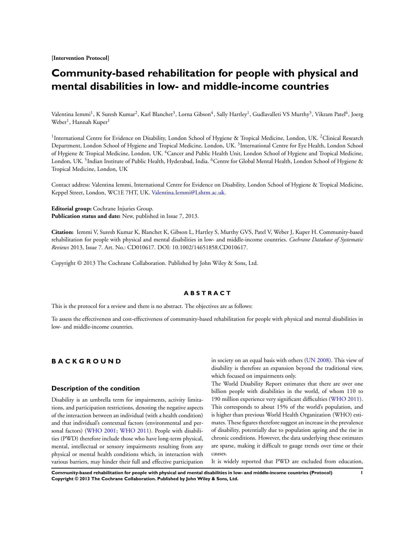<span id="page-2-0"></span>**[Intervention Protocol]**

# **Community-based rehabilitation for people with physical and mental disabilities in low- and middle-income countries**

Valentina Iemmi<sup>1</sup>, K Suresh Kumar<sup>2</sup>, Karl Blanchet<sup>3</sup>, Lorna Gibson<sup>4</sup>, Sally Hartley<sup>1</sup>, Gudlavalleti VS Murthy<sup>5</sup>, Vikram Patel<sup>6</sup>, Joerg Weber<sup>1</sup>, Hannah Kuper<sup>1</sup>

<sup>1</sup> International Centre for Evidence on Disability, London School of Hygiene & Tropical Medicine, London, UK. <sup>2</sup> Clinical Research Department, London School of Hygiene and Tropical Medicine, London, UK. <sup>3</sup> International Centre for Eye Health, London School of Hygiene & Tropical Medicine, London, UK. <sup>4</sup>Cancer and Public Health Unit, London School of Hygiene and Tropical Medicine, London, UK. <sup>5</sup>Indian Institute of Public Health, Hyderabad, India. <sup>6</sup>Centre for Global Mental Health, London School of Hygiene & Tropical Medicine, London, UK

Contact address: Valentina Iemmi, International Centre for Evidence on Disability, London School of Hygiene & Tropical Medicine, Keppel Street, London, WC1E 7HT, UK. [Valentina.Iemmi@Lshtm.ac.uk.](mailto:Valentina.Iemmi@Lshtm.ac.uk)

**Editorial group:** Cochrane Injuries Group. **Publication status and date:** New, published in Issue 7, 2013.

**Citation:** Iemmi V, Suresh Kumar K, Blanchet K, Gibson L, Hartley S, Murthy GVS, Patel V, Weber J, Kuper H. Community-based rehabilitation for people with physical and mental disabilities in low- and middle-income countries. *Cochrane Database of Systematic Reviews* 2013, Issue 7. Art. No.: CD010617. DOI: 10.1002/14651858.CD010617.

Copyright © 2013 The Cochrane Collaboration. Published by John Wiley & Sons, Ltd.

## **A B S T R A C T**

This is the protocol for a review and there is no abstract. The objectives are as follows:

To assess the effectiveness and cost-effectiveness of community-based rehabilitation for people with physical and mental disabilities in low- and middle-income countries.

## **B A C K G R O U N D**

#### **Description of the condition**

Disability is an umbrella term for impairments, activity limitations, and participation restrictions, denoting the negative aspects of the interaction between an individual (with a health condition) and that individual's contextual factors (environmental and personal factors) [\(WHO 2001](#page-8-0); [WHO 2011](#page-8-0)). People with disabilities (PWD) therefore include those who have long-term physical, mental, intellectual or sensory impairments resulting from any physical or mental health conditions which, in interaction with various barriers, may hinder their full and effective participation in society on an equal basis with others ([UN 2008\)](#page-8-0). This view of disability is therefore an expansion beyond the traditional view, which focused on impairments only.

The World Disability Report estimates that there are over one billion people with disabilities in the world, of whom 110 to 190 million experience very significant difficulties ([WHO 2011](#page-8-0)). This corresponds to about 15% of the world's population, and is higher than previous World Health Organization (WHO) estimates. These figures therefore suggest an increase in the prevalence of disability, potentially due to population ageing and the rise in chronic conditions. However, the data underlying these estimates are sparse, making it difficult to gauge trends over time or their causes.

It is widely reported that PWD are excluded from education,

**Community-based rehabilitation for people with physical and mental disabilities in low- and middle-income countries (Protocol) 1 Copyright © 2013 The Cochrane Collaboration. Published by John Wiley & Sons, Ltd.**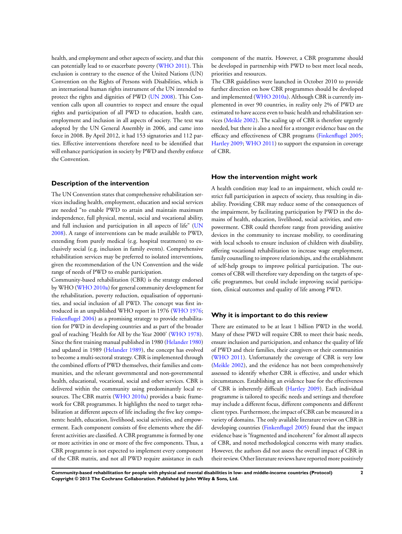health, and employment and other aspects of society, and that this can potentially lead to or exacerbate poverty ([WHO 2011\)](#page-8-0). This exclusion is contrary to the essence of the United Nations (UN) Convention on the Rights of Persons with Disabilities, which is an international human rights instrument of the UN intended to protect the rights and dignities of PWD [\(UN 2008\)](#page-8-0). This Convention calls upon all countries to respect and ensure the equal rights and participation of all PWD to education, health care, employment and inclusion in all aspects of society. The text was adopted by the UN General Assembly in 2006, and came into force in 2008. By April 2012, it had 153 signatories and 112 parties. Effective interventions therefore need to be identified that will enhance participation in society by PWD and thereby enforce the Convention.

#### **Description of the intervention**

The UN Convention states that comprehensive rehabilitation services including health, employment, education and social services are needed "to enable PWD to attain and maintain maximum independence, full physical, mental, social and vocational ability, and full inclusion and participation in all aspects of life" [\(UN](#page-8-0) [2008](#page-8-0)). A range of interventions can be made available to PWD, extending from purely medical (e.g. hospital treatments) to exclusively social (e.g. inclusion in family events). Comprehensive rehabilitation services may be preferred to isolated interventions, given the recommendation of the UN Convention and the wide range of needs of PWD to enable participation.

Community-based rehabilitation (CBR) is the strategy endorsed by WHO ([WHO 2010a](#page-8-0)) for general community development for the rehabilitation, poverty reduction, equalisation of opportunities, and social inclusion of all PWD. The concept was first introduced in an unpublished WHO report in 1976 ([WHO 1976;](#page-8-0) [Finkenflugel 2004](#page-8-0)) as a promising strategy to provide rehabilitation for PWD in developing countries and as part of the broader goal of reaching 'Health for All by the Year 2000' ([WHO 1978](#page-8-0)). Since the first training manual published in 1980 [\(Helander 1980](#page-8-0)) and updated in 1989 [\(Helander 1989\)](#page-8-0), the concept has evolved to become a multi-sectoral strategy. CBR is implemented through the combined efforts of PWD themselves, their families and communities, and the relevant governmental and non-governmental health, educational, vocational, social and other services. CBR is delivered within the community using predominantly local re-sources. The CBR matrix ([WHO 2010a\)](#page-8-0) provides a basic framework for CBR programmes. It highlights the need to target rehabilitation at different aspects of life including the five key components: health, education, livelihood, social activities, and empowerment. Each component consists of five elements where the different activities are classified. A CBR programme is formed by one or more activities in one or more of the five components. Thus, a CBR programme is not expected to implement every component of the CBR matrix, and not all PWD require assistance in each

component of the matrix. However, a CBR programme should be developed in partnership with PWD to best meet local needs, priorities and resources.

The CBR guidelines were launched in October 2010 to provide further direction on how CBR programmes should be developed and implemented ([WHO 2010a](#page-8-0)). Although CBR is currently implemented in over 90 countries, in reality only 2% of PWD are estimated to have access even to basic health and rehabilitation services ([Meikle 2002\)](#page-8-0). The scaling up of CBR is therefore urgently needed, but there is also a need for a stronger evidence base on the efficacy and effectiveness of CBR programs ([Finkenflugel 2005;](#page-8-0) [Hartley 2009;](#page-8-0) [WHO 2011](#page-8-0)) to support the expansion in coverage of CBR.

## **How the intervention might work**

A health condition may lead to an impairment, which could restrict full participation in aspects of society, thus resulting in disability. Providing CBR may reduce some of the consequences of the impairment, by facilitating participation by PWD in the domains of health, education, livelihood, social activities, and empowerment. CBR could therefore range from providing assistive devices in the community to increase mobility, to coordinating with local schools to ensure inclusion of children with disability, offering vocational rehabilitation to increase wage employment, family counselling to improve relationships, and the establishment of self-help groups to improve political participation. The outcomes of CBR will therefore vary depending on the targets of specific programmes, but could include improving social participation, clinical outcomes and quality of life among PWD.

#### **Why it is important to do this review**

There are estimated to be at least 1 billion PWD in the world. Many of these PWD will require CBR to meet their basic needs, ensure inclusion and participation, and enhance the quality of life of PWD and their families, their caregivers or their communities [\(WHO 2011](#page-8-0)). Unfortunately the coverage of CBR is very low [\(Meikle 2002](#page-8-0)), and the evidence has not been comprehensively assessed to identify whether CBR is effective, and under which circumstances. Establishing an evidence base for the effectiveness of CBR is inherently difficult ([Hartley 2009\)](#page-8-0). Each individual programme is tailored to specific needs and settings and therefore may include a different focus, different components and different client types. Furthermore, the impact of CBR can be measured in a variety of domains. The only available literature review on CBR in developing countries [\(Finkenflugel 2005](#page-8-0)) found that the impact evidence base is "fragmented and incoherent" for almost all aspects of CBR, and noted methodological concerns with many studies. However, the authors did not assess the overall impact of CBR in their review. Other literature reviews have reported more positively

**Community-based rehabilitation for people with physical and mental disabilities in low- and middle-income countries (Protocol) 2 Copyright © 2013 The Cochrane Collaboration. Published by John Wiley & Sons, Ltd.**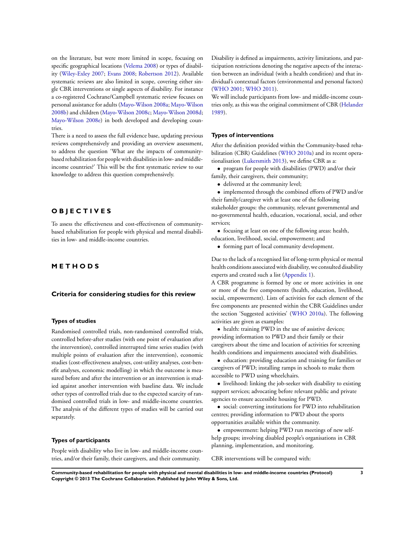on the literature, but were more limited in scope, focusing on specific geographical locations ([Velema 2008](#page-8-0)) or types of disability ([Wiley-Exley 2007](#page-8-0); [Evans 2008](#page-8-0); [Robertson 2012](#page-8-0)). Available systematic reviews are also limited in scope, covering either single CBR interventions or single aspects of disability. For instance a co-registered Cochrane/Campbell systematic review focuses on personal assistance for adults [\(Mayo-Wilson 2008a](#page-8-0); [Mayo-Wilson](#page-8-0) [2008b\)](#page-8-0) and children [\(Mayo-Wilson 2008c;](#page-8-0) [Mayo-Wilson 2008d;](#page-8-0) [Mayo-Wilson 2008e](#page-8-0)) in both developed and developing countries.

There is a need to assess the full evidence base, updating previous reviews comprehensively and providing an overview assessment, to address the question 'What are the impacts of communitybased rehabilitation for people with disabilities in low- and middleincome countries?' This will be the first systematic review to our knowledge to address this question comprehensively.

# **O B J E C T I V E S**

To assess the effectiveness and cost-effectiveness of communitybased rehabilitation for people with physical and mental disabilities in low- and middle-income countries.

# **M E T H O D S**

## **Criteria for considering studies for this review**

## **Types of studies**

Randomised controlled trials, non-randomised controlled trials, controlled before-after studies (with one point of evaluation after the intervention), controlled interrupted time series studies (with multiple points of evaluation after the intervention), economic studies (cost-effectiveness analyses, cost-utility analyses, cost-benefit analyses, economic modelling) in which the outcome is measured before and after the intervention or an intervention is studied against another intervention with baseline data. We include other types of controlled trials due to the expected scarcity of randomised controlled trials in low- and middle-income countries. The analysis of the different types of studies will be carried out separately.

#### **Types of participants**

People with disability who live in low- and middle-income countries, and/or their family, their caregivers, and their community.

Disability is defined as impairments, activity limitations, and participation restrictions denoting the negative aspects of the interaction between an individual (with a health condition) and that individual's contextual factors (environmental and personal factors) [\(WHO 2001](#page-8-0); [WHO 2011](#page-8-0)).

We will include participants from low- and middle-income countries only, as this was the original commitment of CBR ([Helander](#page-8-0) [1989](#page-8-0)).

## **Types of interventions**

After the definition provided within the Community-based reha-bilitation (CBR) Guidelines [\(WHO 2010a](#page-8-0)) and its recent operationalisation [\(Lukersmith 2013\)](#page-8-0), we define CBR as a:

• program for people with disabilities (PWD) and/or their family, their caregivers, their community;

• delivered at the community level;

• implemented through the combined efforts of PWD and/or their family/caregiver with at least one of the following stakeholder groups: the community, relevant governmental and no-governmental health, education, vocational, social, and other services;

- focusing at least on one of the following areas: health, education, livelihood, social, empowerment; and
	- forming part of local community development.

Due to the lack of a recognised list of long-term physical or mental health conditions associated with disability, we consulted disability experts and created such a list [\(Appendix 1](#page-9-0)).

A CBR programme is formed by one or more activities in one or more of the five components (health, education, livelihood, social, empowerment). Lists of activities for each element of the five components are presented within the CBR Guidelines under the section 'Suggested activities' [\(WHO 2010a\)](#page-8-0). The following activities are given as examples:

• health: training PWD in the use of assistive devices; providing information to PWD and their family or their caregivers about the time and location of activities for screening health conditions and impairments associated with disabilities.

• education: providing education and training for families or caregivers of PWD; installing ramps in schools to make them accessible to PWD using wheelchairs.

• livelihood: linking the job-seeker with disability to existing support services; advocating before relevant public and private agencies to ensure accessible housing for PWD.

• social: converting institutions for PWD into rehabilitation centres; providing information to PWD about the sports opportunities available within the community.

• empowerment: helping PWD run meetings of new selfhelp groups; involving disabled people's organisations in CBR planning, implementation, and monitoring.

CBR interventions will be compared with:

**Community-based rehabilitation for people with physical and mental disabilities in low- and middle-income countries (Protocol) 3 Copyright © 2013 The Cochrane Collaboration. Published by John Wiley & Sons, Ltd.**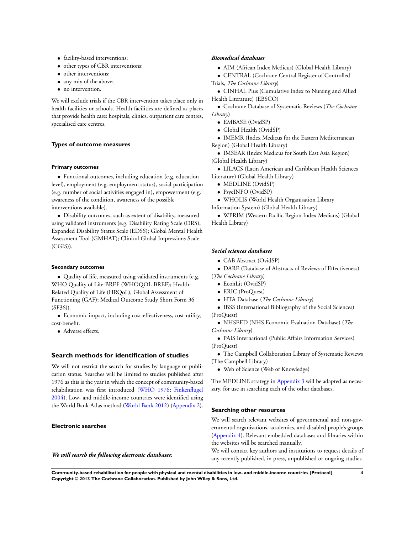- facility-based interventions;
- other types of CBR interventions;
- other interventions;
- any mix of the above;
- no intervention.

We will exclude trials if the CBR intervention takes place only in health facilities or schools. Health facilities are defined as places that provide health care: hospitals, clinics, outpatient care centres, specialised care centres.

## **Types of outcome measures**

#### **Primary outcomes**

• Functional outcomes, including education (e.g. education level), employment (e.g. employment status), social participation (e.g. number of social activities engaged in), empowerment (e.g. awareness of the condition, awareness of the possible interventions available).

• Disability outcomes, such as extent of disability, measured using validated instruments (e.g. Disability Rating Scale (DRS); Expanded Disability Status Scale (EDSS); Global Mental Health Assessment Tool (GMHAT); Clinical Global Impressions Scale (CGIS)).

## **Secondary outcomes**

• Quality of life, measured using validated instruments (e.g. WHO Quality of Life-BREF (WHOQOL-BREF); Health-Related Quality of Life (HRQoL); Global Assessment of Functioning (GAF); Medical Outcome Study Short Form 36  $(SF36)$ 

• Economic impact, including cost-effectiveness, cost-utility, cost-benefit.

• Adverse effects.

## **Search methods for identification of studies**

We will not restrict the search for studies by language or publication status. Searches will be limited to studies published after 1976 as this is the year in which the concept of community-based rehabilitation was first introduced [\(WHO 1976;](#page-8-0) [Finkenflugel](#page-8-0) [2004](#page-8-0)). Low- and middle-income countries were identified using the World Bank Atlas method [\(World Bank 2012\)](#page-8-0) ([Appendix 2](#page-10-0)).

#### **Electronic searches**

*We will search the following electronic databases:*

#### *Biomedical databases*

• AIM (African Index Medicus) (Global Health Library)

• CENTRAL (Cochrane Central Register of Controlled Trials, *The Cochrane Library*)

• CINHAL Plus (Cumulative Index to Nursing and Allied Health Literature) (EBSCO)

• Cochrane Database of Systematic Reviews (*The Cochrane Library*)

- EMBASE (OvidSP)
- Global Health (OvidSP)

• IMEMR (Index Medicus for the Eastern Mediterranean Region) (Global Health Library)

• IMSEAR (Index Medicus for South East Asia Region) (Global Health Library)

• LILACS (Latin American and Caribbean Health Sciences Literature) (Global Health Library)

- MEDLINE (OvidSP)
- PsycINFO (OvidSP)
- WHOLIS (World Health Organisation Library
- Information System) (Global Health Library)

• WPRIM (Western Pacific Region Index Medicus) (Global Health Library)

## *Social sciences databases*

- CAB Abstract (OvidSP)
- DARE (Database of Abstracts of Reviews of Effectiveness)
- (*The Cochrane Library*)
	- EconLit (OvidSP)
	- ERIC (ProQuest)
	- HTA Database (*The Cochrane Library*)
- IBSS (International Bibliography of the Social Sciences) (ProQuest)

• NHSEED (NHS Economic Evaluation Database) (*The Cochrane Library*)

• PAIS International (Public Affairs Information Services) (ProQuest)

• The Campbell Collaboration Library of Systematic Reviews (The Campbell Library)

• Web of Science (Web of Knowledge)

The MEDLINE strategy in [Appendix 3](#page-13-0) will be adapted as necessary, for use in searching each of the other databases.

## **Searching other resources**

We will search relevant websites of governmental and non-governmental organisations, academics, and disabled people's groups [\(Appendix 4\)](#page-15-0). Relevant embedded databases and libraries within the websites will be searched manually.

We will contact key authors and institutions to request details of any recently published, in press, unpublished or ongoing studies.

**Community-based rehabilitation for people with physical and mental disabilities in low- and middle-income countries (Protocol) 4 Copyright © 2013 The Cochrane Collaboration. Published by John Wiley & Sons, Ltd.**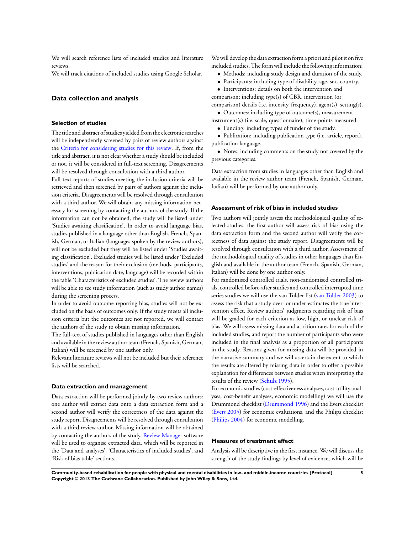We will search reference lists of included studies and literature reviews.

We will track citations of included studies using Google Scholar.

## **Data collection and analysis**

## **Selection of studies**

The title and abstract of studies yielded from the electronic searches will be independently screened by pairs of review authors against the [Criteria for considering studies for this review](#page-2-0). If, from the title and abstract, it is not clear whether a study should be included or not, it will be considered in full-text screening. Disagreements will be resolved through consultation with a third author.

Full-text reports of studies meeting the inclusion criteria will be retrieved and then screened by pairs of authors against the inclusion criteria. Disagreements will be resolved through consultation with a third author. We will obtain any missing information necessary for screening by contacting the authors of the study. If the information can not be obtained, the study will be listed under 'Studies awaiting classification'. In order to avoid language bias, studies published in a language other than English, French, Spanish, German, or Italian (languages spoken by the review authors), will not be excluded but they will be listed under 'Studies awaiting classification'. Excluded studies will be listed under 'Excluded studies' and the reason for their exclusion (methods, participants, interventions, publication date, language) will be recorded within the table 'Characteristics of excluded studies'. The review authors will be able to see study information (such as study author names) during the screening process.

In order to avoid outcome reporting bias, studies will not be excluded on the basis of outcomes only. If the study meets all inclusion criteria but the outcomes are not reported, we will contact the authors of the study to obtain missing information.

The full-text of studies published in languages other than English and available in the review author team (French, Spanish, German, Italian) will be screened by one author only.

Relevant literature reviews will not be included but their reference lists will be searched.

#### **Data extraction and management**

Data extraction will be performed jointly by two review authors: one author will extract data onto a data extraction form and a second author will verify the correctness of the data against the study report. Disagreements will be resolved through consultation with a third review author. Missing information will be obtained by contacting the authors of the study. [Review Manager](#page-8-0) software will be used to organise extracted data, which will be reported in the 'Data and analyses', 'Characteristics of included studies', and 'Risk of bias table' sections.

We will develop the data extraction form a priori and pilot it on five included studies. The form will include the following information:

- Methods: including study design and duration of the study.
- Participants: including type of disability, age, sex, country.

• Interventions: details on both the intervention and comparison; including type(s) of CBR, intervention (or

comparison) details (i.e. intensity, frequency), agent(s), setting(s). • Outcomes: including type of outcome(s), measurement

instrument(s) (i.e. scale, questionnaire), time-points measured.

• Funding: including types of funder of the study.

• Publication: including publication type (i.e. article, report), publication language.

• Notes: including comments on the study not covered by the previous categories.

Data extraction from studies in languages other than English and available in the review author team (French, Spanish, German, Italian) will be performed by one author only.

#### **Assessment of risk of bias in included studies**

Two authors will jointly assess the methodological quality of selected studies: the first author will assess risk of bias using the data extraction form and the second author will verify the correctness of data against the study report. Disagreements will be resolved through consultation with a third author. Assessment of the methodological quality of studies in other languages than English and available in the author team (French, Spanish, German, Italian) will be done by one author only.

For randomised controlled trials, non-randomised controlled trials, controlled before-after studies and controlled interrupted time series studies we will use the van Tulder list [\(van Tulder 2003\)](#page-8-0) to assess the risk that a study over- or under-estimates the true intervention effect. Review authors' judgments regarding risk of bias will be graded for each criterion as low, high, or unclear risk of bias. We will assess missing data and attrition rates for each of the included studies, and report the number of participants who were included in the final analysis as a proportion of all participants in the study. Reasons given for missing data will be provided in the narrative summary and we will ascertain the extent to which the results are altered by missing data in order to offer a possible explanation for differences between studies when interpreting the results of the review [\(Schulz 1995](#page-8-0)).

For economic studies (cost-effectiveness analyses, cost-utility analyses, cost-benefit analyses, economic modelling) we will use the Drummond checklist ([Drummond 1996](#page-8-0)) and the Evers checklist [\(Evers 2005\)](#page-8-0) for economic evaluations, and the Philips checklist [\(Philips 2004](#page-8-0)) for economic modelling.

## **Measures of treatment effect**

Analysis will be descriptive in the first instance. We will discuss the strength of the study findings by level of evidence, which will be

**Community-based rehabilitation for people with physical and mental disabilities in low- and middle-income countries (Protocol) 5 Copyright © 2013 The Cochrane Collaboration. Published by John Wiley & Sons, Ltd.**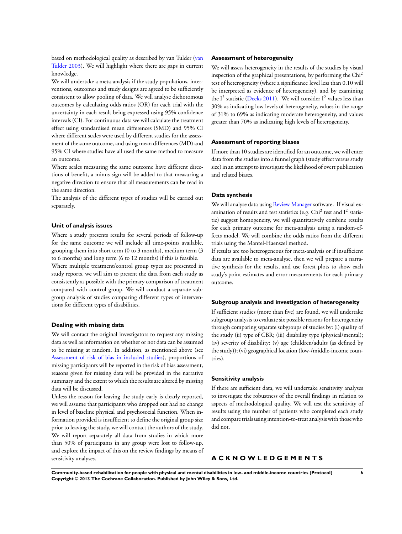based on methodological quality as described by van Tulder ([van](#page-8-0) [Tulder 2003\)](#page-8-0). We will highlight where there are gaps in current knowledge.

We will undertake a meta-analysis if the study populations, interventions, outcomes and study designs are agreed to be sufficiently consistent to allow pooling of data. We will analyse dichotomous outcomes by calculating odds ratios (OR) for each trial with the uncertainty in each result being expressed using 95% confidence intervals (CI). For continuous data we will calculate the treatment effect using standardised mean differences (SMD) and 95% CI where different scales were used by different studies for the assessment of the same outcome, and using mean differences (MD) and 95% CI where studies have all used the same method to measure an outcome.

Where scales measuring the same outcome have different directions of benefit, a minus sign will be added to that measuring a negative direction to ensure that all measurements can be read in the same direction.

The analysis of the different types of studies will be carried out separately.

#### **Unit of analysis issues**

Where a study presents results for several periods of follow-up for the same outcome we will include all time-points available, grouping them into short term (0 to 3 months), medium term (3 to 6 months) and long term (6 to 12 months) if this is feasible. Where multiple treatment/control group types are presented in study reports, we will aim to present the data from each study as consistently as possible with the primary comparison of treatment compared with control group. We will conduct a separate subgroup analysis of studies comparing different types of interventions for different types of disabilities.

#### **Dealing with missing data**

We will contact the original investigators to request any missing data as well as information on whether or not data can be assumed to be missing at random. In addition, as mentioned above (see [Assessment of risk of bias in included studies\)](#page-2-0), proportions of missing participants will be reported in the risk of bias assessment, reasons given for missing data will be provided in the narrative summary and the extent to which the results are altered by missing data will be discussed.

Unless the reason for leaving the study early is clearly reported, we will assume that participants who dropped out had no change in level of baseline physical and psychosocial function. When information provided is insufficient to define the original group size prior to leaving the study, we will contact the authors of the study. We will report separately all data from studies in which more than 50% of participants in any group were lost to follow-up, and explore the impact of this on the review findings by means of sensitivity analyses.

#### **Assessment of heterogeneity**

We will assess heterogeneity in the results of the studies by visual inspection of the graphical presentations, by performing the Chi<sup>2</sup> test of heterogeneity (where a significance level less than 0.10 will be interpreted as evidence of heterogeneity), and by examining the  $I^2$  statistic [\(Deeks 2011\)](#page-8-0). We will consider  $I^2$  values less than 30% as indicating low levels of heterogeneity, values in the range of 31% to 69% as indicating moderate heterogeneity, and values greater than 70% as indicating high levels of heterogeneity.

#### **Assessment of reporting biases**

If more than 10 studies are identified for an outcome, we will enter data from the studies into a funnel graph (study effect versus study size) in an attempt to investigate the likelihood of overt publication and related biases.

#### **Data synthesis**

We will analyse data using [Review Manager](#page-8-0) software. If visual examination of results and test statistics (e.g.  $Chi<sup>2</sup>$  test and  $I<sup>2</sup>$  statistic) suggest homogeneity, we will quantitatively combine results for each primary outcome for meta-analysis using a random-effects model. We will combine the odds ratios from the different trials using the Mantel-Haenszel method.

If results are too heterogeneous for meta-analysis or if insufficient data are available to meta-analyse, then we will prepare a narrative synthesis for the results, and use forest plots to show each study's point estimates and error measurements for each primary outcome.

#### **Subgroup analysis and investigation of heterogeneity**

If sufficient studies (more than five) are found, we will undertake subgroup analysis to evaluate six possible reasons for heterogeneity through comparing separate subgroups of studies by: (i) quality of the study (ii) type of CBR; (iii) disability type (physical/mental); (iv) severity of disability; (v) age (children/adults (as defined by the study)); (vi) geographical location (low-/middle-income countries).

## **Sensitivity analysis**

If there are sufficient data, we will undertake sensitivity analyses to investigate the robustness of the overall findings in relation to aspects of methodological quality. We will test the sensitivity of results using the number of patients who completed each study and compare trials using intention-to-treat analysis with those who did not.

# **A C K N O W L E D G E M E N T S**

**Community-based rehabilitation for people with physical and mental disabilities in low- and middle-income countries (Protocol) 6 Copyright © 2013 The Cochrane Collaboration. Published by John Wiley & Sons, Ltd.**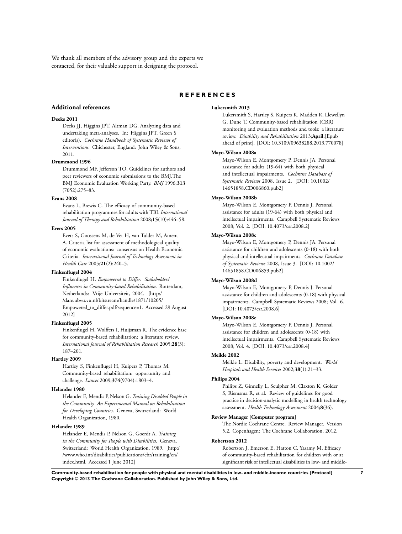<span id="page-8-0"></span>We thank all members of the advisory group and the experts we contacted, for their valuable support in designing the protocol.

## **R E F E R E N C E S**

## **Additional references**

#### **Deeks 2011**

Deeks JJ, Higgins JPT, Altman DG. Analyzing data and undertaking meta-analyses. In: Higgins JPT, Green S editor(s). *Cochrane Handbook of Systematic Reviews of Interventions*. Chichester, England: John Wiley & Sons, 2011.

#### **Drummond 1996**

Drummond MF, Jefferson TO. Guidelines for authors and peer reviewers of economic submissions to the BMJ.The BMJ Economic Evaluation Working Party. *BMJ* 1996;**313** (7052):275–83.

## **Evans 2008**

Evans L, Brewis C. The efficacy of community-based rehabilitation programmes for adults with TBI. *International Journal of Therapy and Rehabilitation* 2008;**15**(10):446–58.

#### **Evers 2005**

Evers S, Goossens M, de Vet H, van Tulder M, Ament A. Criteria list for assessment of methodological quality of economic evaluations: consensus on Health Economic Criteria. *International Journal of Technology Assessment in Health Care* 2005;**21**(2):240–5.

## **Finkenflugel 2004**

Finkenflugel H. *Empowered to Differ. Stakeholders' Influences in Community-based Rehabilitation*. Rotterdam, Netherlands: Vrije Universiteit, 2004. [http:/ /dare.ubvu.vu.nl/bitstream/handle/1871/10205/ Empowered\_to\_differ.pdf?sequence=1. Accessed 29 August 2012]

#### **Finkenflugel 2005**

Finkenflugel H, Wolffers I, Huijsman R. The evidence base for community-based rehabilitation: a literature review. *International Journal of Rehabilitation Research* 2005;**28**(3): 187–201.

#### **Hartley 2009**

Hartley S, Finkenflugel H, Kuipers P, Thomas M. Community-based rehabilitation: opportunity and challenge. *Lancet* 2009;**374**(9704):1803–4.

#### **Helander 1980**

Helander E, Mendis P, Nelson G. *Training Disabled People in the Community. An Experimental Manual on Rehabilitation for Developing Countries*. Geneva, Switzerland: World Health Organization, 1980.

## **Helander 1989**

Helander E, Mendis P, Nelson G, Goerdt A. *Training in the Community for People with Disabilities*. Geneva, Switzerland: World Health Organization, 1989. [http:/ /www.who.int/disabilities/publications/cbr/training/en/ index.html. Accessed 1 June 2012]

#### **Lukersmith 2013**

Lukersmith S, Hartley S, Kuipers K, Madden R, Llewellyn G, Dune T. Community-based rehabilitation (CBR) monitoring and evaluation methods and tools: a literature review. *Disability and Rehabilitation* 2013;**April**:[Epub ahead of print]. [DOI: 10.3109/09638288.2013.770078]

## **Mayo-Wilson 2008a**

Mayo-Wilson E, Montgomery P, Dennis JA. Personal assistance for adults (19-64) with both physical and intellectual impairments. *Cochrane Database of Systematic Reviews* 2008, Issue 2. [DOI: 10.1002/ 14651858.CD006860.pub2]

#### **Mayo-Wilson 2008b**

Mayo-Wilson E, Montgomery P, Dennis J. Personal assistance for adults (19-64) with both physical and intellectual impairments. Campbell Systematic Reviews 2008; Vol. 2. [DOI: 10.4073/csr.2008.2]

## **Mayo-Wilson 2008c**

Mayo-Wilson E, Montgomery P, Dennis JA. Personal assistance for children and adolescents (0-18) with both physical and intellectual impairments. *Cochrane Database of Systematic Reviews* 2008, Issue 3. [DOI: 10.1002/ 14651858.CD006859.pub2]

#### **Mayo-Wilson 2008d**

Mayo-Wilson E, Montgomery P, Dennis J. Personal assistance for children and adolescents (0-18) with physical impairments. Campbell Systematic Reviews 2008; Vol. 6. [DOI: 10.4073/csr.2008.6]

## **Mayo-Wilson 2008e**

Mayo-Wilson E, Montgomery P, Dennis J. Personal assistance for children and adolescents (0-18) with intellectual impairments. Campbell Systematic Reviews 2008; Vol. 4. [DOI: 10.4073/csr.2008.4]

#### **Meikle 2002**

Meikle L. Disability, poverty and development. *World Hospitals and Health Services* 2002;**38**(1):21–33.

#### **Philips 2004**

Philips Z, Ginnelly L, Sculpher M, Claxton K, Golder S, Riemsma R, et al. Review of guidelines for good practice in decision-analytic modelling in health technology assessment. *Health Technology Assessment* 2004;**8**(36).

#### **Review Manager [Computer program]**

The Nordic Cochrane Centre. Review Manager. Version 5.2. Copenhagen: The Cochrane Collaboration, 2012.

#### **Robertson 2012**

Robertson J, Emerson E, Hatton C, Yasamy M. Efficacy of community-based rehabilitation for children with or at significant risk of intellectual disabilities in low- and middle-

**Community-based rehabilitation for people with physical and mental disabilities in low- and middle-income countries (Protocol) 7 Copyright © 2013 The Cochrane Collaboration. Published by John Wiley & Sons, Ltd.**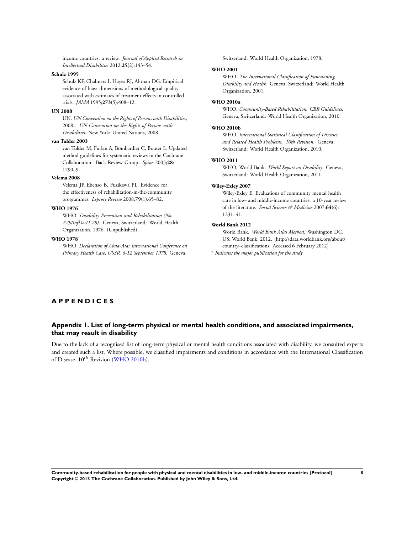<span id="page-9-0"></span>income countries: a review. *Journal of Applied Research in Intellectual Disabilities* 2012;**25**(2):143–54.

#### **Schulz 1995**

Schulz KF, Chalmers I, Hayes RJ, Altman DG. Empirical evidence of bias: dimensions of methodological quality associated with estimates of treatment effects in controlled trials. *JAMA* 1995;**273**(5):408–12.

#### **UN 2008**

UN. *UN Convention on the Rights of Persons with Disabilities*, 2008.. *UN Convention on the Rights of Persons with Disabilities*. New York: United Nations, 2008.

#### **van Tulder 2003**

van Tulder M, Furlan A, Bombardier C, Bouter L. Updated method guidelines for systematic reviews in the Cochrane Collaboration. Back Review Group. *Spine* 2003;**28**: 1290–9.

#### **Velema 2008**

Velema JP, Ebenso B, Fuzikawa PL. Evidence for the effectiveness of rehabilitation-in-the-community programmes. *Leprosy Review* 2008;**79**(1):65–82.

### **WHO 1976**

WHO. *Disability Prevention and Rehabilitation (No. A29/InfDoc/1.28)*. Geneva, Switzerland: World Health Organization, 1976. (Unpublished).

## **WHO 1978**

WHO. *Declaration of Alma-Ata: International Conference on Primary Health Care, USSR, 6-12 September 1978*. Geneva,

Switzerland: World Health Organization, 1978.

#### **WHO 2001**

WHO. *The International Classification of Functioning, Disability and Health*. Geneva, Switzerland: World Health Organization, 2001.

#### **WHO 2010a**

WHO. *Community-Based Rehabilitation: CBR Guidelines*. Geneva, Switzerland: World Health Organization, 2010.

#### **WHO 2010b**

WHO. *International Statistical Classification of Diseases and Related Health Problems. 10th Revision*. Geneva, Switzerland: World Health Organization, 2010.

#### **WHO 2011**

WHO, World Bank. *World Report on Disability*. Geneva, Switzerland: World Health Organization, 2011.

#### **Wiley-Exley 2007**

Wiley-Exley E. Evaluations of community mental health care in low- and middle-income countries: a 10-year review of the literature. *Social Science & Medicine* 2007;**64**(6): 1231–41.

## **World Bank 2012**

World Bank. *World Bank Atlas Method*. Washington DC, US: World Bank, 2012. [http://data.worldbank.org/about/ country–classifications. Accessed 6 February 2012]

∗ *Indicates the major publication for the study*

# **A P P E N D I C E S**

## **Appendix 1. List of long-term physical or mental health conditions, and associated impairments, that may result in disability**

Due to the lack of a recognised list of long-term physical or mental health conditions associated with disability, we consulted experts and created such a list. Where possible, we classified impairments and conditions in accordance with the International Classification of Disease,  $10^{th}$  Revision [\(WHO 2010b](#page-8-0)).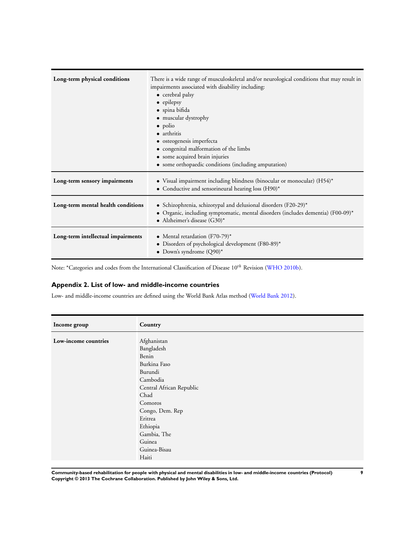<span id="page-10-0"></span>

| Long-term physical conditions      | There is a wide range of musculoskeletal and/or neurological conditions that may result in<br>impairments associated with disability including:<br>• cerebral palsy<br>• epilepsy<br>· spina bifida<br>• muscular dystrophy<br>$\bullet$ polio<br>$\bullet$ arthritis<br>• osteogenesis imperfecta<br>• congenital malformation of the limbs<br>• some acquired brain injuries<br>• some orthopaedic conditions (including amputation) |
|------------------------------------|----------------------------------------------------------------------------------------------------------------------------------------------------------------------------------------------------------------------------------------------------------------------------------------------------------------------------------------------------------------------------------------------------------------------------------------|
| Long-term sensory impairments      | • Visual impairment including blindness (binocular or monocular) (H54)*<br>• Conductive and sensorineural hearing loss (H90)*                                                                                                                                                                                                                                                                                                          |
| Long-term mental health conditions | • Schizophrenia, schizotypal and delusional disorders (F20-29)*<br>• Organic, including symptomatic, mental disorders (includes dementia) (F00-09)*<br>• Alzheimer's disease $(G30)^*$                                                                                                                                                                                                                                                 |
| Long-term intellectual impairments | • Mental retardation $(F70-79)^*$<br>• Disorders of psychological development (F80-89)*<br>• Down's syndrome $(Q90)^*$                                                                                                                                                                                                                                                                                                                 |

Note: \*Categories and codes from the International Classification of Disease 10<sup>th</sup> Revision ([WHO 2010b](#page-8-0)).

# **Appendix 2. List of low- and middle-income countries**

Low- and middle-income countries are defined using the World Bank Atlas method [\(World Bank 2012](#page-8-0)).

| Income group         | Country                  |
|----------------------|--------------------------|
| Low-income countries | Afghanistan              |
|                      | Bangladesh               |
|                      | Benin                    |
|                      | Burkina Faso             |
|                      | Burundi                  |
|                      |                          |
|                      | Cambodia                 |
|                      | Central African Republic |
|                      | Chad                     |
|                      | Comoros                  |
|                      | Congo, Dem. Rep          |
|                      | Eritrea                  |
|                      | Ethiopia                 |
|                      | Gambia, The              |
|                      | Guinea                   |
|                      | Guinea-Bisau             |
|                      | Haiti                    |
|                      |                          |

**Community-based rehabilitation for people with physical and mental disabilities in low- and middle-income countries (Protocol) 9 Copyright © 2013 The Cochrane Collaboration. Published by John Wiley & Sons, Ltd.**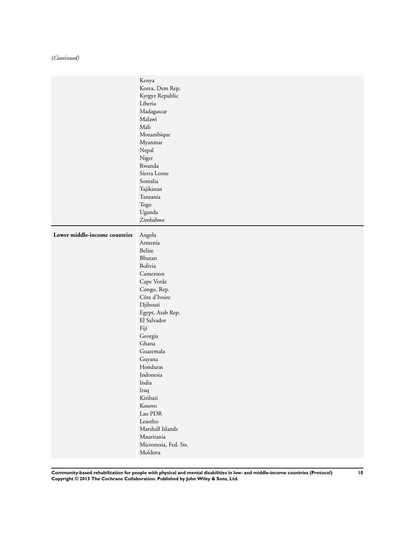|                               | Kenya                        |
|-------------------------------|------------------------------|
|                               | Korea, Dem Rep.              |
|                               | Kyrgyz Republic              |
|                               | Liberia                      |
|                               | Madagascar                   |
|                               | Malawi                       |
|                               | Mali                         |
|                               | Mozambique                   |
|                               | Myanmar                      |
|                               | Nepal                        |
|                               |                              |
|                               | Niger<br>Rwanda              |
|                               | Sierra Leone                 |
|                               |                              |
|                               | Somalia                      |
|                               | Tajikistan                   |
|                               | Tanzania                     |
|                               | Togo                         |
|                               | Uganda                       |
|                               | Zimbabwe                     |
| Lower middle-income countries | Angola                       |
|                               | Armenia                      |
|                               | Belize                       |
|                               | Bhutan                       |
|                               | Bolivia                      |
|                               | Cameroon                     |
|                               | Cape Verde                   |
|                               |                              |
|                               | Congo, Rep.<br>Côte d'Ivoire |
|                               |                              |
|                               | Djibouti                     |
|                               | Egypt, Arab Rep.             |
|                               | El Salvador                  |
|                               | Fiji                         |
|                               | Georgia                      |
|                               | Ghana                        |
|                               | Guatemala                    |
|                               | Guyana                       |
|                               | Honduras                     |
|                               | Indonesia                    |
|                               | India                        |
|                               | Iraq                         |
|                               | Kiribati                     |
|                               | Kosovo                       |
|                               | Lao PDR                      |
|                               | Lesotho                      |
|                               | Marshall Islands             |
|                               | Mauritania                   |
|                               | Micronesia, Fed. Sts.        |
|                               | Moldova                      |
|                               |                              |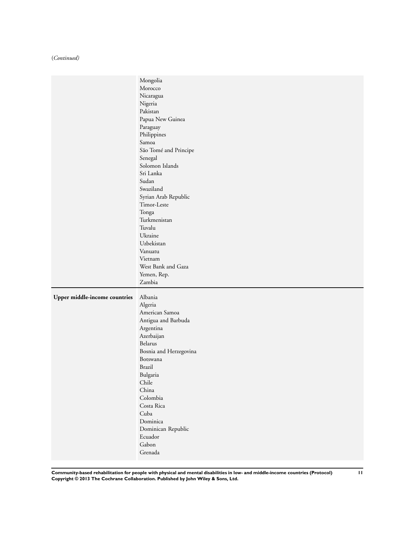|                               | Mongolia               |
|-------------------------------|------------------------|
|                               | Morocco                |
|                               | Nicaragua              |
|                               | Nigeria                |
|                               | Pakistan               |
|                               | Papua New Guinea       |
|                               | Paraguay               |
|                               | Philippines            |
|                               | Samoa                  |
|                               | São Tomé and Principe  |
|                               | Senegal                |
|                               | Solomon Islands        |
|                               | Sri Lanka              |
|                               | Sudan                  |
|                               | Swaziland              |
|                               | Syrian Arab Republic   |
|                               | Timor-Leste            |
|                               | Tonga                  |
|                               | Turkmenistan           |
|                               | Tuvalu                 |
|                               | Ukraine                |
|                               | Uzbekistan             |
|                               |                        |
|                               | Vanuatu                |
|                               | Vietnam                |
|                               | West Bank and Gaza     |
|                               |                        |
|                               | Yemen, Rep.            |
|                               | Zambia                 |
|                               |                        |
| Upper middle-income countries | Albania                |
|                               | Algeria                |
|                               | American Samoa         |
|                               | Antigua and Barbuda    |
|                               | Argentina              |
|                               | Azerbaijan             |
|                               | Belarus                |
|                               | Bosnia and Herzegovina |
|                               | Botswana               |
|                               | <b>Brazil</b>          |
|                               | Bulgaria               |
|                               | Chile                  |
|                               | China                  |
|                               | Colombia               |
|                               | Costa Rica             |
|                               | Cuba                   |
|                               | Dominica               |
|                               | Dominican Republic     |
|                               | Ecuador                |
|                               | Gabon                  |
|                               | Grenada                |

**Community-based rehabilitation for people with physical and mental disabilities in low- and middle-income countries (Protocol) 11 Copyright © 2013 The Cochrane Collaboration. Published by John Wiley & Sons, Ltd.**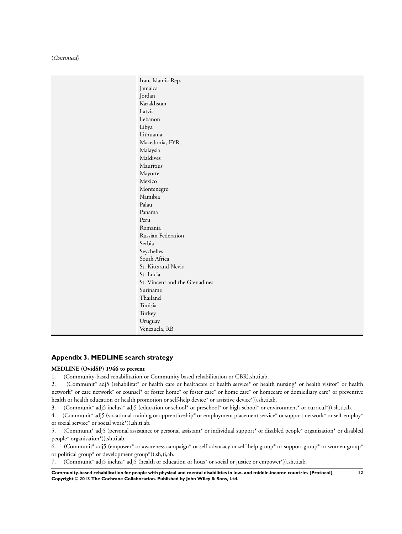<span id="page-13-0"></span>

| Iran, Islamic Rep.             |
|--------------------------------|
| Jamaica                        |
| Jordan                         |
| Kazakhstan                     |
| Latvia                         |
| Lebanon                        |
| Libya                          |
| Lithuania                      |
| Macedonia, FYR                 |
| Malaysia                       |
| Maldives                       |
| Mauritius                      |
| Mayotte                        |
| Mexico                         |
| Montenegro                     |
| Namibia                        |
| Palau                          |
| Panama                         |
| Peru                           |
| Romania                        |
| Russian Federation             |
| Serbia                         |
| Seychelles                     |
| South Africa                   |
| St. Kitts and Nevis            |
| St. Lucia                      |
| St. Vincent and the Grenadines |
| Suriname                       |
| Thailand                       |
| Tunisia                        |
| Turkey                         |
| Uruguay                        |
| Venezuela, RB                  |

# **Appendix 3. MEDLINE search strategy**

## **MEDLINE (OvidSP) 1946 to present**

1. (Community-based rehabilitation or Community based rehabilitation or CBR).sh,ti,ab.

2. (Communit\* adj5 (rehabilitat\* or health care or healthcare or health service\* or health nursing\* or health visitor\* or health network\* or care network\* or counsel\* or foster home\* or foster care\* or home care\* or homecare or domiciliary care\* or preventive health or health education or health promotion or self-help device\* or assistive device\*)).sh,ti,ab.

3. (Communit\* adj5 inclusi\* adj5 (education or school\* or preschool\* or high-school\* or environment\* or curricul\*)).sh,ti,ab.

4. (Communit\* adj5 (vocational training or apprenticeship\* or employment placement service\* or support network\* or self-employ\* or social service\* or social work\*)).sh,ti,ab.

5. (Communit\* adj5 (personal assistance or personal assistant\* or individual support\* or disabled people\* organization\* or disabled people\* organisation\*)).sh,ti,ab.

6. (Communit\* adj5 (empower\* or awareness campaign\* or self-advocacy or self-help group\* or support group\* or women group\* or political group\* or development group\*)).sh,ti,ab.

7. (Communit\* adj5 inclusi\* adj5 (health or education or hous\* or social or justice or empower\*)).sh,ti,ab.

**Community-based rehabilitation for people with physical and mental disabilities in low- and middle-income countries (Protocol) 12 Copyright © 2013 The Cochrane Collaboration. Published by John Wiley & Sons, Ltd.**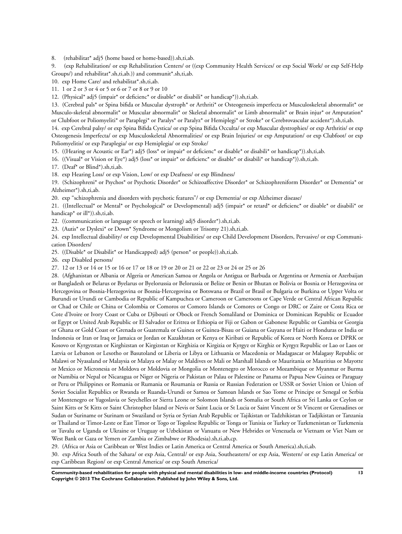8. (rehabilitat\* adj5 (home based or home-based)).sh,ti,ab.

9. (exp Rehabilitation/ or exp Rehabilitation Centers/ or ((exp Community Health Services/ or exp Social Work/ or exp Self-Help Groups/) and rehabilitat\*.sh,ti,ab.)) and communit\*.sh,ti,ab.

10. exp Home Care/ and rehabilitat\*.sh,ti,ab.

11. 1 or 2 or 3 or 4 or 5 or 6 or 7 or 8 or 9 or 10

12. (Physical\* adj5 (impair\* or deficienc\* or disable\* or disabili\* or handicap\*)).sh,ti,ab.

13. (Cerebral pals\* or Spina bifida or Muscular dystroph\* or Arthriti\* or Osteogenesis imperfecta or Musculoskeletal abnormalit\* or Musculo-skeletal abnormalit\* or Muscular abnormalit\* or Skeletal abnormalit\* or Limb abnormalit\* or Brain injur\* or Amputation\* or Clubfoot or Poliomyeliti\* or Paraplegi\* or Paralys\* or Paralyz\* or Hemiplegi\* or Stroke\* or Cerebrovascular accident\*).sh,ti,ab.

14. exp Cerebral palsy/ or exp Spina Bifida Cystica/ or exp Spina Bifida Occulta/ or exp Muscular dystrophies/ or exp Arthritis/ or exp Osteogenesis Imperfecta/ or exp Musculoskeletal Abnormalities/ or exp Brain Injuries/ or exp Amputation/ or exp Clubfoot/ or exp Poliomyelitis/ or exp Paraplegia/ or exp Hemiplegia/ or exp Stroke/

15. ((Hearing or Acoustic or Ear\*) adj5 (loss\* or impair\* or deficienc\* or disable\* or disabili\* or handicap\*)).sh,ti,ab.

16. ((Visual\* or Vision or Eye\*) adj5 (loss\* or impair\* or deficienc\* or disable\* or disabili\* or handicap\*)).sh,ti,ab.

17. (Deaf\* or Blind\*).sh,ti,ab.

18. exp Hearing Loss/ or exp Vision, Low/ or exp Deafness/ or exp Blindness/

19. (Schizophreni\* or Psychos\* or Psychotic Disorder\* or Schizoaffective Disorder\* or Schizophreniform Disorder\* or Dementia\* or Alzheimer\*).sh,ti,ab.

20. exp "schizophrenia and disorders with psychotic features"/ or exp Dementia/ or exp Alzheimer disease/

21. ((Intellectual\* or Mental\* or Psychological\* or Developmental) adj5 (impair\* or retard\* or deficienc\* or disable\* or disabili\* or handicap\* or ill\*)).sh,ti,ab.

22. ((communication or language or speech or learning) adj5 disorder\*).sh,ti,ab.

23. (Autis\* or Dyslexi\* or Down\* Syndrome or Mongolism or Trisomy 21).sh,ti,ab.

24. exp Intellectual disability/ or exp Developmental Disabilities/ or exp Child Development Disorders, Pervasive/ or exp Communication Disorders/

25. ((Disable\* or Disabilit\* or Handicapped) adj5 (person\* or people)).sh,ti,ab.

26. exp Disabled persons/

27. 12 or 13 or 14 or 15 or 16 or 17 or 18 or 19 or 20 or 21 or 22 or 23 or 24 or 25 or 26

28. (Afghanistan or Albania or Algeria or American Samoa or Angola or Antigua or Barbuda or Argentina or Armenia or Azerbaijan or Bangladesh or Belarus or Byelarus or Byelorussia or Belorussia or Belize or Benin or Bhutan or Bolivia or Bosnia or Herzegovina or Hercegovina or Bosnia-Herzegovina or Bosnia-Hercegovina or Botswana or Brazil or Brasil or Bulgaria or Burkina or Upper Volta or Burundi or Urundi or Cambodia or Republic of Kampuchea or Cameroon or Cameroons or Cape Verde or Central African Republic or Chad or Chile or China or Colombia or Comoros or Comoro Islands or Comores or Congo or DRC or Zaire or Costa Rica or Cote d'Ivoire or Ivory Coast or Cuba or Djibouti or Obock or French Somaliland or Dominica or Dominican Republic or Ecuador or Egypt or United Arab Republic or El Salvador or Eritrea or Ethiopia or Fiji or Gabon or Gabonese Republic or Gambia or Georgia or Ghana or Gold Coast or Grenada or Guatemala or Guinea or Guinea-Bisau or Guiana or Guyana or Haiti or Honduras or India or Indonesia or Iran or Iraq or Jamaica or Jordan or Kazakhstan or Kenya or Kiribati or Republic of Korea or North Korea or DPRK or Kosovo or Kyrgyzstan or Kirghizstan or Kirgizstan or Kirghizia or Kirgizia or Kyrgyz or Kirghiz or Kyrgyz Republic or Lao or Laos or Latvia or Lebanon or Lesotho or Basutoland or Liberia or Libya or Lithuania or Macedonia or Madagascar or Malagasy Republic or Malawi or Nyasaland or Malaysia or Malaya or Malay or Maldives or Mali or Marshall Islands or Mauritania or Mauritius or Mayotte or Mexico or Micronesia or Moldova or Moldovia or Mongolia or Montenegro or Morocco or Mozambique or Myanmar or Burma or Namibia or Nepal or Nicaragua or Niger or Nigeria or Pakistan or Palau or Palestine or Panama or Papua New Guinea or Paraguay or Peru or Philippines or Romania or Rumania or Roumania or Russia or Russian Federation or USSR or Soviet Union or Union of Soviet Socialist Republics or Rwanda or Ruanda-Urundi or Samoa or Samoan Islands or Sao Tome or Principe or Senegal or Serbia or Montenegro or Yugoslavia or Seychelles or Sierra Leone or Solomon Islands or Somalia or South Africa or Sri Lanka or Ceylon or Saint Kitts or St Kitts or Saint Christopher Island or Nevis or Saint Lucia or St Lucia or Saint Vincent or St Vincent or Grenadines or Sudan or Suriname or Surinam or Swaziland or Syria or Syrian Arab Republic or Tajikistan or Tadzhikistan or Tadjikistan or Tanzania or Thailand or Timor-Leste or East Timor or Togo or Togolese Republic or Tonga or Tunisia or Turkey or Turkmenistan or Turkmenia or Tuvalu or Uganda or Ukraine or Uruguay or Uzbekistan or Vanuatu or New Hebrides or Venezuela or Vietnam or Viet Nam or West Bank or Gaza or Yemen or Zambia or Zimbabwe or Rhodesia).sh,ti,ab,cp.

29. (Africa or Asia or Caribbean or West Indies or Latin America or Central America or South America).sh,ti,ab.

30. exp Africa South of the Sahara/ or exp Asia, Central/ or exp Asia, Southeastern/ or exp Asia, Western/ or exp Latin America/ or exp Caribbean Region/ or exp Central America/ or exp South America/

**Community-based rehabilitation for people with physical and mental disabilities in low- and middle-income countries (Protocol) 13 Copyright © 2013 The Cochrane Collaboration. Published by John Wiley & Sons, Ltd.**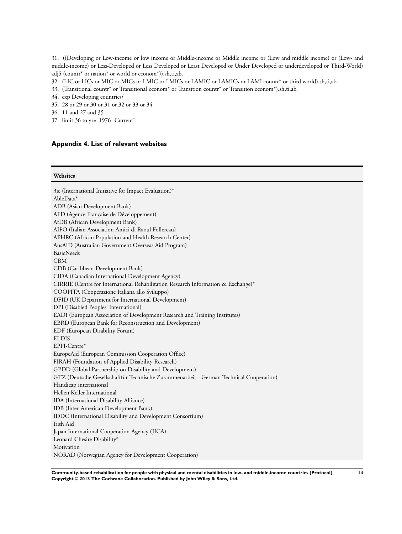<span id="page-15-0"></span>31. ((Developing or Low-income or low income or Middle-income or Middle income or (Low and middle income) or (Low- and middle-income) or Less-Developed or Less Developed or Least Developed or Under Developed or underdeveloped or Third-World) adj5 (countr\* or nation\* or world or econom\*)).sh,ti,ab.

- 32. (LIC or LICs or MIC or MICs or LMIC or LMICs or LAMIC or LAMICs or LAMI countr\* or third world).sh,ti,ab.
- 33. (Transitional countr\* or Transitional econom\* or Transition countr\* or Transition econom\*).sh,ti,ab.
- 34. exp Developing countries/
- 35. 28 or 29 or 30 or 31 or 32 or 33 or 34

36. 11 and 27 and 35

37. limit 36 to yr="1976 -Current"

## **Appendix 4. List of relevant websites**

#### **Websites**

3ie (International Initiative for Impact Evaluation)\* AbleData\* ADB (Asian Development Bank) AFD (Agence Française de Développement) AfDB (African Development Bank) AIFO (Italian Association Amici di Raoul Follereau) APHRC (African Population and Health Research Center) AusAID (Australian Government Overseas Aid Program) BasicNeeds CBM CDB (Caribbean Development Bank) CIDA (Canadian International Development Agency) CIRRIE (Centre for International Rehabilitation Research Information & Exchange)\* COOPITA (Cooperazione Italiana allo Sviluppo) DFID (UK Department for International Development) DPI (Disabled Peoples' International) EADI (European Association of Development Research and Training Institutes) EBRD (European Bank for Reconstruction and Development) EDF (European Disability Forum) ELDIS EPPI-Centre\* EuropeAid (European Commission Cooperation Office) FIRAH (Foundation of Applied Disability Research) GPDD (Global Partnership on Disability and Development) GTZ (Deutsche Gesellschaftfür Technische Zusammenarbeit - German Technical Cooperation) Handicap international Hellen Keller International IDA (International Disability Alliance) IDB (Inter-American Development Bank) IDDC (International Disability and Development Consortium) Irish Aid Japan International Cooperation Agency (JICA) Leonard Chesire Disability\* Motivation NORAD (Norwegian Agency for Development Cooperation)

**Community-based rehabilitation for people with physical and mental disabilities in low- and middle-income countries (Protocol) 14 Copyright © 2013 The Cochrane Collaboration. Published by John Wiley & Sons, Ltd.**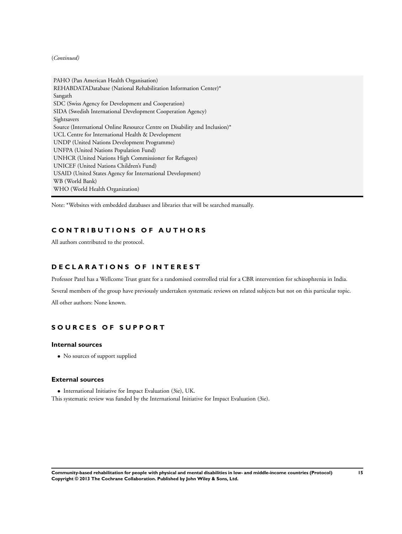PAHO (Pan American Health Organisation) REHABDATADatabase (National Rehabilitation Information Center)\* Sangath SDC (Swiss Agency for Development and Cooperation) SIDA (Swedish International Development Cooperation Agency) Sightsavers Source (International Online Resource Centre on Disability and Inclusion)\* UCL Centre for International Health & Development UNDP (United Nations Development Programme) UNFPA (United Nations Population Fund) UNHCR (United Nations High Commissioner for Refugees) UNICEF (United Nations Children's Fund) USAID (United States Agency for International Development) WB (World Bank) WHO (World Health Organization)

Note: \*Websites with embedded databases and libraries that will be searched manually.

# **C O N T R I B U T I O N S O F A U T H O R S**

All authors contributed to the protocol.

# **D E C L A R A T I O N S O F I N T E R E S T**

Professor Patel has a Wellcome Trust grant for a randomised controlled trial for a CBR intervention for schizophrenia in India. Several members of the group have previously undertaken systematic reviews on related subjects but not on this particular topic. All other authors: None known.

# **S O U R C E S O F S U P P O R T**

#### **Internal sources**

• No sources of support supplied

## **External sources**

• International Initiative for Impact Evaluation (3ie), UK.

This systematic review was funded by the International Initiative for Impact Evaluation (3ie).